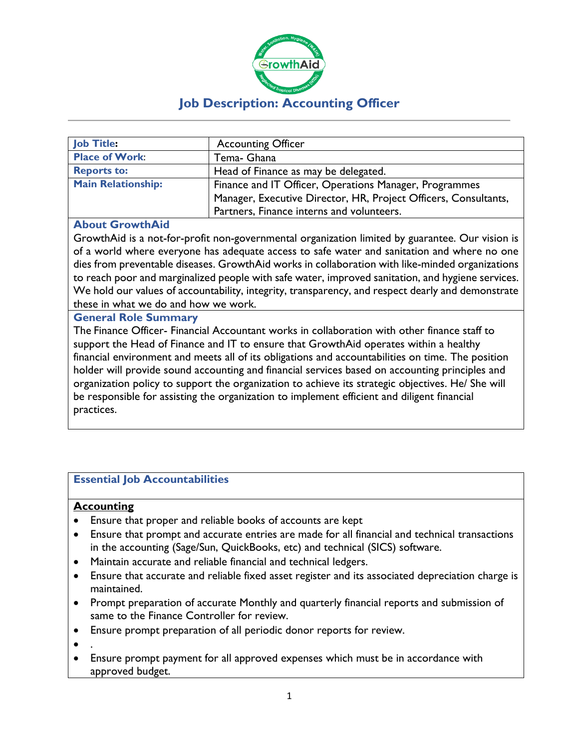

| <b>Job Title:</b>         | <b>Accounting Officer</b>                                       |
|---------------------------|-----------------------------------------------------------------|
| <b>Place of Work:</b>     | Tema- Ghana                                                     |
| <b>Reports to:</b>        | Head of Finance as may be delegated.                            |
| <b>Main Relationship:</b> | Finance and IT Officer, Operations Manager, Programmes          |
|                           | Manager, Executive Director, HR, Project Officers, Consultants, |
|                           | Partners, Finance interns and volunteers.                       |

## **About GrowthAid**

GrowthAid is a not-for-profit non-governmental organization limited by guarantee. Our vision is of a world where everyone has adequate access to safe water and sanitation and where no one dies from preventable diseases. GrowthAid works in collaboration with like-minded organizations to reach poor and marginalized people with safe water, improved sanitation, and hygiene services. We hold our values of accountability, integrity, transparency, and respect dearly and demonstrate these in what we do and how we work.

## **General Role Summary**

The Finance Officer- Financial Accountant works in collaboration with other finance staff to support the Head of Finance and IT to ensure that GrowthAid operates within a healthy financial environment and meets all of its obligations and accountabilities on time. The position holder will provide sound accounting and financial services based on accounting principles and organization policy to support the organization to achieve its strategic objectives. He/ She will be responsible for assisting the organization to implement efficient and diligent financial practices.

## **Essential Job Accountabilities**

### **Accounting**

- Ensure that proper and reliable books of accounts are kept
- Ensure that prompt and accurate entries are made for all financial and technical transactions in the accounting (Sage/Sun, QuickBooks, etc) and technical (SICS) software.
- Maintain accurate and reliable financial and technical ledgers.
- Ensure that accurate and reliable fixed asset register and its associated depreciation charge is maintained.
- Prompt preparation of accurate Monthly and quarterly financial reports and submission of same to the Finance Controller for review.
- Ensure prompt preparation of all periodic donor reports for review.
- .
- Ensure prompt payment for all approved expenses which must be in accordance with approved budget.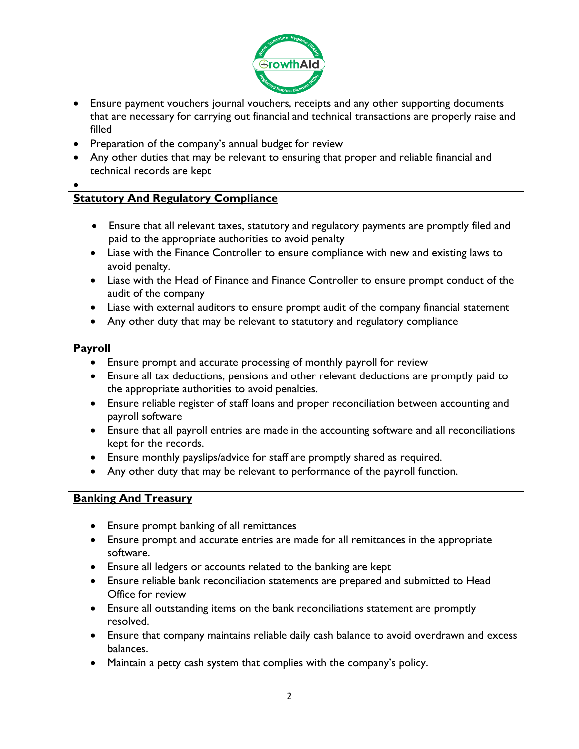

- Ensure payment vouchers journal vouchers, receipts and any other supporting documents that are necessary for carrying out financial and technical transactions are properly raise and filled
- Preparation of the company's annual budget for review
- Any other duties that may be relevant to ensuring that proper and reliable financial and technical records are kept

### •

# **Statutory And Regulatory Compliance**

- Ensure that all relevant taxes, statutory and regulatory payments are promptly filed and paid to the appropriate authorities to avoid penalty
- Liase with the Finance Controller to ensure compliance with new and existing laws to avoid penalty.
- Liase with the Head of Finance and Finance Controller to ensure prompt conduct of the audit of the company
- Liase with external auditors to ensure prompt audit of the company financial statement
- Any other duty that may be relevant to statutory and regulatory compliance

## **Payroll**

- Ensure prompt and accurate processing of monthly payroll for review
- Ensure all tax deductions, pensions and other relevant deductions are promptly paid to the appropriate authorities to avoid penalties.
- Ensure reliable register of staff loans and proper reconciliation between accounting and payroll software
- Ensure that all payroll entries are made in the accounting software and all reconciliations kept for the records.
- Ensure monthly payslips/advice for staff are promptly shared as required.
- Any other duty that may be relevant to performance of the payroll function.

## **Banking And Treasury**

- Ensure prompt banking of all remittances
- Ensure prompt and accurate entries are made for all remittances in the appropriate software.
- Ensure all ledgers or accounts related to the banking are kept
- Ensure reliable bank reconciliation statements are prepared and submitted to Head Office for review
- Ensure all outstanding items on the bank reconciliations statement are promptly resolved.
- Ensure that company maintains reliable daily cash balance to avoid overdrawn and excess balances.
- Maintain a petty cash system that complies with the company's policy.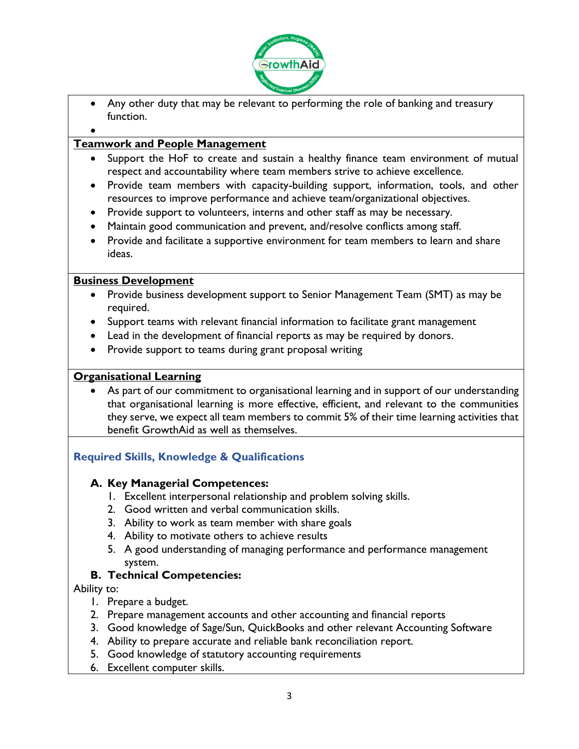

- Any other duty that may be relevant to performing the role of banking and treasury function.
- •

## **Teamwork and People Management**

- Support the HoF to create and sustain a healthy finance team environment of mutual respect and accountability where team members strive to achieve excellence.
- Provide team members with capacity-building support, information, tools, and other resources to improve performance and achieve team/organizational objectives.
- Provide support to volunteers, interns and other staff as may be necessary.
- Maintain good communication and prevent, and/resolve conflicts among staff.
- Provide and facilitate a supportive environment for team members to learn and share ideas.

## **Business Development**

- Provide business development support to Senior Management Team (SMT) as may be required.
- Support teams with relevant financial information to facilitate grant management
- Lead in the development of financial reports as may be required by donors.
- Provide support to teams during grant proposal writing

## **Organisational Learning**

As part of our commitment to organisational learning and in support of our understanding that organisational learning is more effective, efficient, and relevant to the communities they serve, we expect all team members to commit 5% of their time learning activities that benefit GrowthAid as well as themselves.

# **Required Skills, Knowledge & Qualifications**

# **A. Key Managerial Competences:**

- 1. Excellent interpersonal relationship and problem solving skills.
- 2. Good written and verbal communication skills.
- 3. Ability to work as team member with share goals
- 4. Ability to motivate others to achieve results
- 5. A good understanding of managing performance and performance management system.

# **B. Technical Competencies:**

Ability to:

- 1. Prepare a budget.
- 2. Prepare management accounts and other accounting and financial reports
- 3. Good knowledge of Sage/Sun, QuickBooks and other relevant Accounting Software
- 4. Ability to prepare accurate and reliable bank reconciliation report.
- 5. Good knowledge of statutory accounting requirements
- 6. Excellent computer skills.